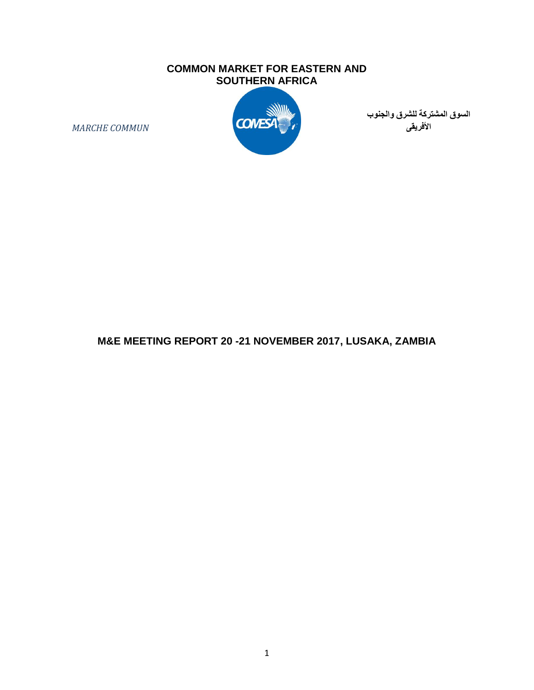### **COMMON MARKET FOR EASTERN AND SOUTHERN AFRICA**



**السوق المشتركة للشرق والجنوب األفريقى**

*MARCHE COMMUN*

## **M&E MEETING REPORT 20 -21 NOVEMBER 2017, LUSAKA, ZAMBIA**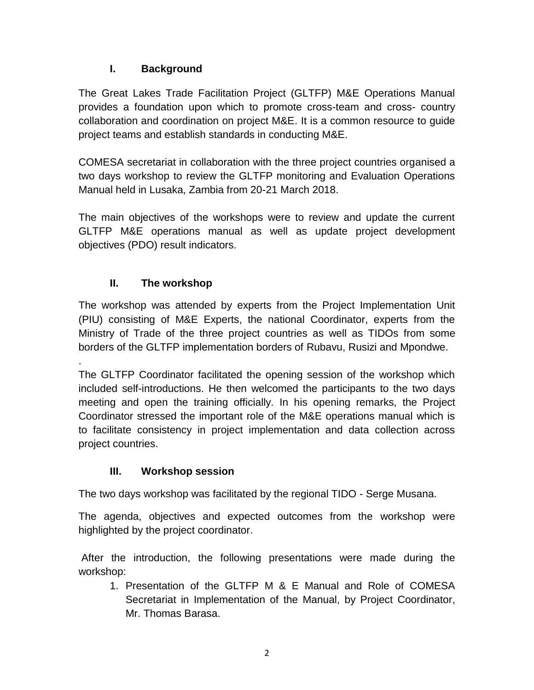## **I. Background**

The Great Lakes Trade Facilitation Project (GLTFP) M&E Operations Manual provides a foundation upon which to promote cross-team and cross- country collaboration and coordination on project M&E. It is a common resource to guide project teams and establish standards in conducting M&E.

COMESA secretariat in collaboration with the three project countries organised a two days workshop to review the GLTFP monitoring and Evaluation Operations Manual held in Lusaka, Zambia from 20-21 March 2018.

The main objectives of the workshops were to review and update the current GLTFP M&E operations manual as well as update project development objectives (PDO) result indicators.

# **II. The workshop**

The workshop was attended by experts from the Project Implementation Unit (PIU) consisting of M&E Experts, the national Coordinator, experts from the Ministry of Trade of the three project countries as well as TIDOs from some borders of the GLTFP implementation borders of Rubavu, Rusizi and Mpondwe.

. The GLTFP Coordinator facilitated the opening session of the workshop which included self-introductions. He then welcomed the participants to the two days meeting and open the training officially. In his opening remarks, the Project Coordinator stressed the important role of the M&E operations manual which is to facilitate consistency in project implementation and data collection across project countries.

## **III. Workshop session**

The two days workshop was facilitated by the regional TIDO - Serge Musana.

The agenda, objectives and expected outcomes from the workshop were highlighted by the project coordinator.

After the introduction, the following presentations were made during the workshop:

1. Presentation of the GLTFP M & E Manual and Role of COMESA Secretariat in Implementation of the Manual, by Project Coordinator, Mr. Thomas Barasa.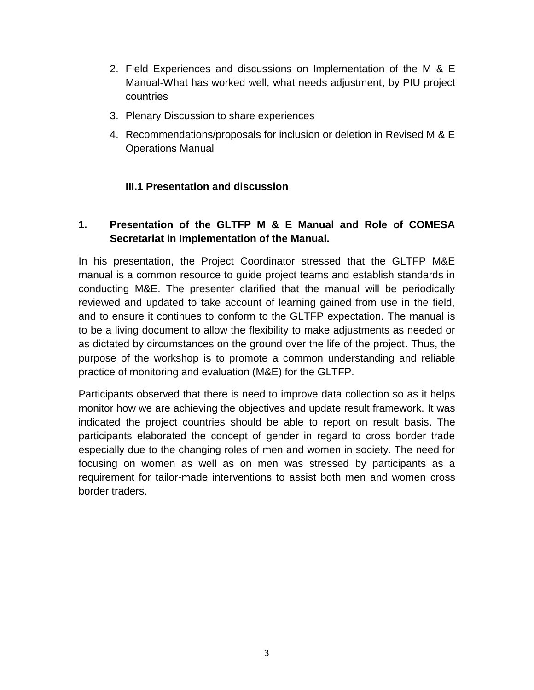- 2. Field Experiences and discussions on Implementation of the M & E Manual-What has worked well, what needs adjustment, by PIU project countries
- 3. Plenary Discussion to share experiences
- 4. Recommendations/proposals for inclusion or deletion in Revised M & E Operations Manual

## **III.1 Presentation and discussion**

## **1. Presentation of the GLTFP M & E Manual and Role of COMESA Secretariat in Implementation of the Manual.**

In his presentation, the Project Coordinator stressed that the GLTFP M&E manual is a common resource to guide project teams and establish standards in conducting M&E. The presenter clarified that the manual will be periodically reviewed and updated to take account of learning gained from use in the field, and to ensure it continues to conform to the GLTFP expectation. The manual is to be a living document to allow the flexibility to make adjustments as needed or as dictated by circumstances on the ground over the life of the project. Thus, the purpose of the workshop is to promote a common understanding and reliable practice of monitoring and evaluation (M&E) for the GLTFP.

Participants observed that there is need to improve data collection so as it helps monitor how we are achieving the objectives and update result framework. It was indicated the project countries should be able to report on result basis. The participants elaborated the concept of gender in regard to cross border trade especially due to the changing roles of men and women in society. The need for focusing on women as well as on men was stressed by participants as a requirement for tailor-made interventions to assist both men and women cross border traders.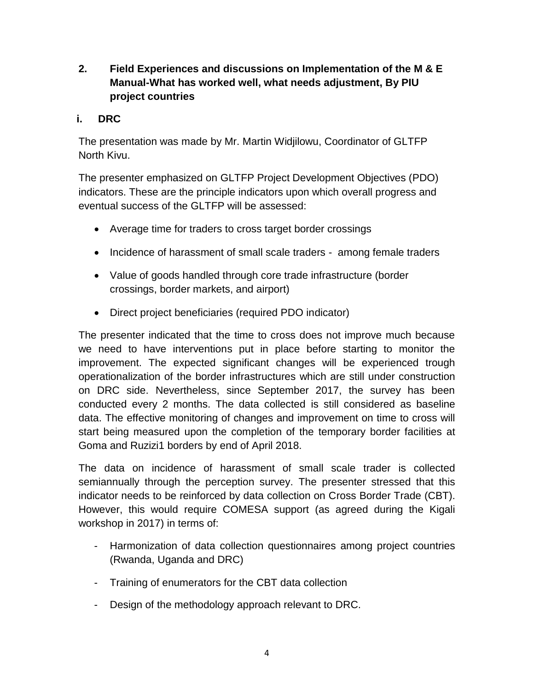**2. Field Experiences and discussions on Implementation of the M & E Manual-What has worked well, what needs adjustment, By PIU project countries**

## **i. DRC**

The presentation was made by Mr. Martin Widjilowu, Coordinator of GLTFP North Kivu.

The presenter emphasized on GLTFP Project Development Objectives (PDO) indicators. These are the principle indicators upon which overall progress and eventual success of the GLTFP will be assessed:

- Average time for traders to cross target border crossings
- Incidence of harassment of small scale traders among female traders
- Value of goods handled through core trade infrastructure (border crossings, border markets, and airport)
- Direct project beneficiaries (required PDO indicator)

The presenter indicated that the time to cross does not improve much because we need to have interventions put in place before starting to monitor the improvement. The expected significant changes will be experienced trough operationalization of the border infrastructures which are still under construction on DRC side. Nevertheless, since September 2017, the survey has been conducted every 2 months. The data collected is still considered as baseline data. The effective monitoring of changes and improvement on time to cross will start being measured upon the completion of the temporary border facilities at Goma and Ruzizi1 borders by end of April 2018.

The data on incidence of harassment of small scale trader is collected semiannually through the perception survey. The presenter stressed that this indicator needs to be reinforced by data collection on Cross Border Trade (CBT). However, this would require COMESA support (as agreed during the Kigali workshop in 2017) in terms of:

- Harmonization of data collection questionnaires among project countries (Rwanda, Uganda and DRC)
- Training of enumerators for the CBT data collection
- Design of the methodology approach relevant to DRC.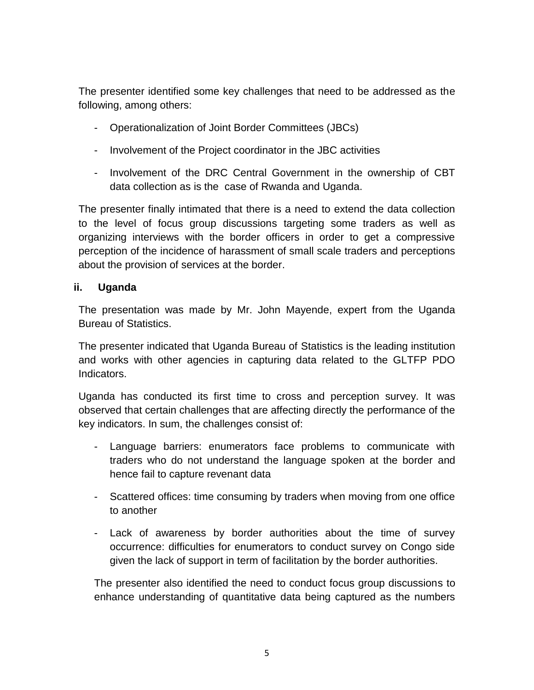The presenter identified some key challenges that need to be addressed as the following, among others:

- Operationalization of Joint Border Committees (JBCs)
- Involvement of the Project coordinator in the JBC activities
- Involvement of the DRC Central Government in the ownership of CBT data collection as is the case of Rwanda and Uganda.

The presenter finally intimated that there is a need to extend the data collection to the level of focus group discussions targeting some traders as well as organizing interviews with the border officers in order to get a compressive perception of the incidence of harassment of small scale traders and perceptions about the provision of services at the border.

### **ii. Uganda**

The presentation was made by Mr. John Mayende, expert from the Uganda Bureau of Statistics.

The presenter indicated that Uganda Bureau of Statistics is the leading institution and works with other agencies in capturing data related to the GLTFP PDO Indicators.

Uganda has conducted its first time to cross and perception survey. It was observed that certain challenges that are affecting directly the performance of the key indicators. In sum, the challenges consist of:

- Language barriers: enumerators face problems to communicate with traders who do not understand the language spoken at the border and hence fail to capture revenant data
- Scattered offices: time consuming by traders when moving from one office to another
- Lack of awareness by border authorities about the time of survey occurrence: difficulties for enumerators to conduct survey on Congo side given the lack of support in term of facilitation by the border authorities.

The presenter also identified the need to conduct focus group discussions to enhance understanding of quantitative data being captured as the numbers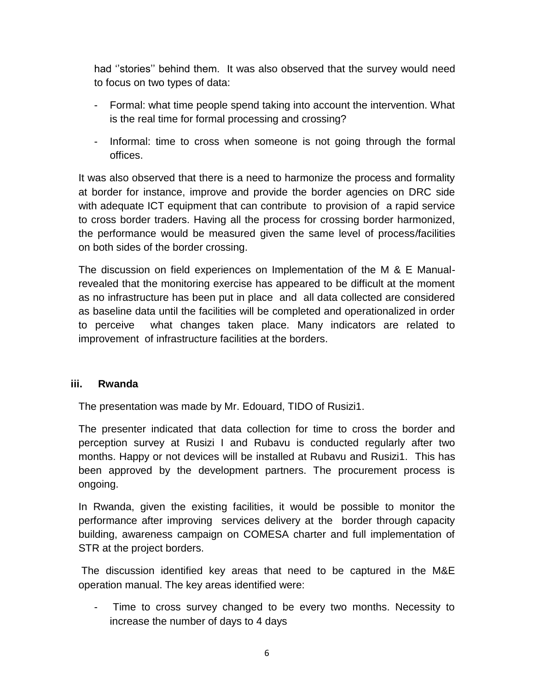had ''stories'' behind them. It was also observed that the survey would need to focus on two types of data:

- Formal: what time people spend taking into account the intervention. What is the real time for formal processing and crossing?
- Informal: time to cross when someone is not going through the formal offices.

It was also observed that there is a need to harmonize the process and formality at border for instance, improve and provide the border agencies on DRC side with adequate ICT equipment that can contribute to provision of a rapid service to cross border traders. Having all the process for crossing border harmonized, the performance would be measured given the same level of process/facilities on both sides of the border crossing.

The discussion on field experiences on Implementation of the M & E Manualrevealed that the monitoring exercise has appeared to be difficult at the moment as no infrastructure has been put in place and all data collected are considered as baseline data until the facilities will be completed and operationalized in order to perceive what changes taken place. Many indicators are related to improvement of infrastructure facilities at the borders.

#### **iii. Rwanda**

The presentation was made by Mr. Edouard, TIDO of Rusizi1.

The presenter indicated that data collection for time to cross the border and perception survey at Rusizi I and Rubavu is conducted regularly after two months. Happy or not devices will be installed at Rubavu and Rusizi1. This has been approved by the development partners. The procurement process is ongoing.

In Rwanda, given the existing facilities, it would be possible to monitor the performance after improving services delivery at the border through capacity building, awareness campaign on COMESA charter and full implementation of STR at the project borders.

The discussion identified key areas that need to be captured in the M&E operation manual. The key areas identified were:

Time to cross survey changed to be every two months. Necessity to increase the number of days to 4 days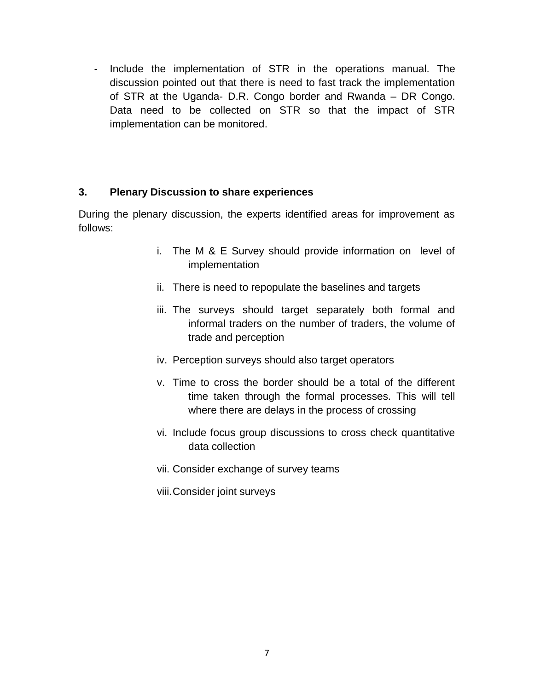- Include the implementation of STR in the operations manual. The discussion pointed out that there is need to fast track the implementation of STR at the Uganda- D.R. Congo border and Rwanda – DR Congo. Data need to be collected on STR so that the impact of STR implementation can be monitored.

### **3. Plenary Discussion to share experiences**

During the plenary discussion, the experts identified areas for improvement as follows:

- i. The M & E Survey should provide information on level of implementation
- ii. There is need to repopulate the baselines and targets
- iii. The surveys should target separately both formal and informal traders on the number of traders, the volume of trade and perception
- iv. Perception surveys should also target operators
- v. Time to cross the border should be a total of the different time taken through the formal processes. This will tell where there are delays in the process of crossing
- vi. Include focus group discussions to cross check quantitative data collection
- vii. Consider exchange of survey teams
- viii.Consider joint surveys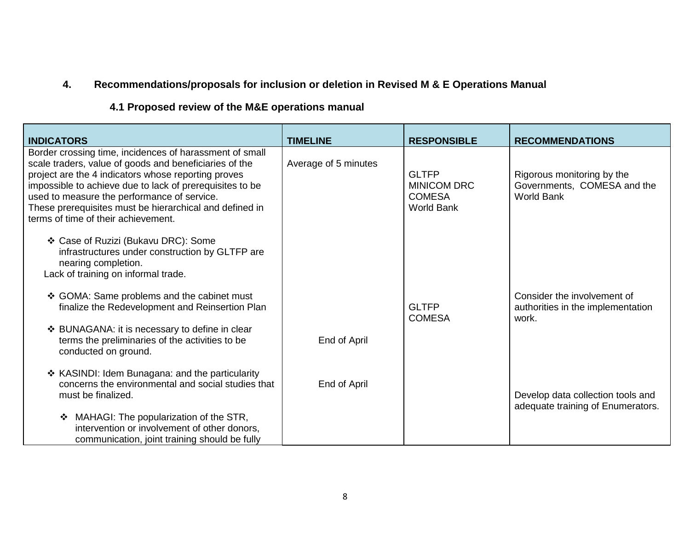# **4. Recommendations/proposals for inclusion or deletion in Revised M & E Operations Manual**

# **4.1 Proposed review of the M&E operations manual**

| <b>INDICATORS</b>                                                                                                                                                                                                                                                                                                                                                                     | <b>TIMELINE</b>      | <b>RESPONSIBLE</b>                                                       | <b>RECOMMENDATIONS</b>                                                         |
|---------------------------------------------------------------------------------------------------------------------------------------------------------------------------------------------------------------------------------------------------------------------------------------------------------------------------------------------------------------------------------------|----------------------|--------------------------------------------------------------------------|--------------------------------------------------------------------------------|
| Border crossing time, incidences of harassment of small<br>scale traders, value of goods and beneficiaries of the<br>project are the 4 indicators whose reporting proves<br>impossible to achieve due to lack of prerequisites to be<br>used to measure the performance of service.<br>These prerequisites must be hierarchical and defined in<br>terms of time of their achievement. | Average of 5 minutes | <b>GLTFP</b><br><b>MINICOM DRC</b><br><b>COMESA</b><br><b>World Bank</b> | Rigorous monitoring by the<br>Governments, COMESA and the<br><b>World Bank</b> |
| ❖ Case of Ruzizi (Bukavu DRC): Some<br>infrastructures under construction by GLTFP are<br>nearing completion.<br>Lack of training on informal trade.                                                                                                                                                                                                                                  |                      |                                                                          |                                                                                |
| ❖ GOMA: Same problems and the cabinet must<br>finalize the Redevelopment and Reinsertion Plan                                                                                                                                                                                                                                                                                         |                      | <b>GLTFP</b><br><b>COMESA</b>                                            | Consider the involvement of<br>authorities in the implementation<br>work.      |
| ❖ BUNAGANA: it is necessary to define in clear<br>terms the preliminaries of the activities to be<br>conducted on ground.                                                                                                                                                                                                                                                             | End of April         |                                                                          |                                                                                |
| * KASINDI: Idem Bunagana: and the particularity<br>concerns the environmental and social studies that<br>must be finalized.                                                                                                                                                                                                                                                           | End of April         |                                                                          | Develop data collection tools and<br>adequate training of Enumerators.         |
| MAHAGI: The popularization of the STR,<br>❖<br>intervention or involvement of other donors,<br>communication, joint training should be fully                                                                                                                                                                                                                                          |                      |                                                                          |                                                                                |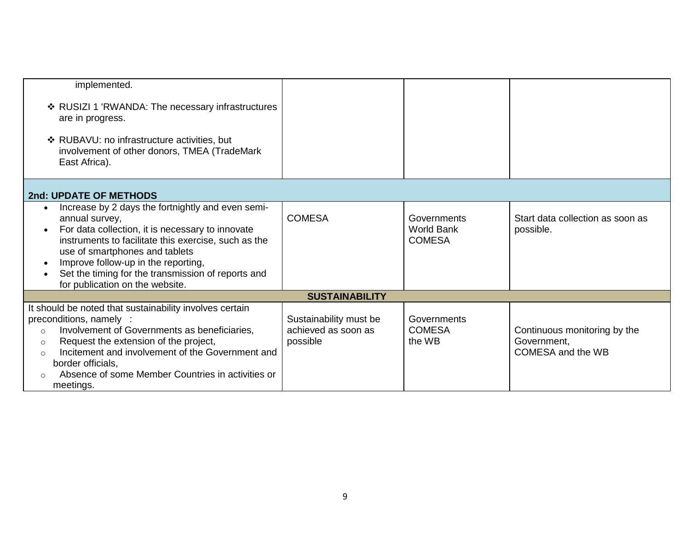| implemented.                                                                                                                                                                                                                                                                                                                                                      |                                                           |                                                   |                                                                  |  |  |
|-------------------------------------------------------------------------------------------------------------------------------------------------------------------------------------------------------------------------------------------------------------------------------------------------------------------------------------------------------------------|-----------------------------------------------------------|---------------------------------------------------|------------------------------------------------------------------|--|--|
| ❖ RUSIZI 1 'RWANDA: The necessary infrastructures<br>are in progress.                                                                                                                                                                                                                                                                                             |                                                           |                                                   |                                                                  |  |  |
| ❖ RUBAVU: no infrastructure activities, but<br>involvement of other donors, TMEA (TradeMark<br>East Africa).                                                                                                                                                                                                                                                      |                                                           |                                                   |                                                                  |  |  |
| 2nd: UPDATE OF METHODS                                                                                                                                                                                                                                                                                                                                            |                                                           |                                                   |                                                                  |  |  |
| Increase by 2 days the fortnightly and even semi-<br>$\bullet$<br>annual survey,<br>For data collection, it is necessary to innovate<br>instruments to facilitate this exercise, such as the<br>use of smartphones and tablets<br>Improve follow-up in the reporting,<br>Set the timing for the transmission of reports and<br>for publication on the website.    | <b>COMESA</b>                                             | Governments<br><b>World Bank</b><br><b>COMESA</b> | Start data collection as soon as<br>possible.                    |  |  |
| <b>SUSTAINABILITY</b>                                                                                                                                                                                                                                                                                                                                             |                                                           |                                                   |                                                                  |  |  |
| It should be noted that sustainability involves certain<br>preconditions, namely :<br>Involvement of Governments as beneficiaries,<br>$\circ$<br>Request the extension of the project,<br>$\circ$<br>Incitement and involvement of the Government and<br>$\circ$<br>border officials,<br>Absence of some Member Countries in activities or<br>$\cap$<br>meetings. | Sustainability must be<br>achieved as soon as<br>possible | Governments<br><b>COMESA</b><br>the WB            | Continuous monitoring by the<br>Government,<br>COMESA and the WB |  |  |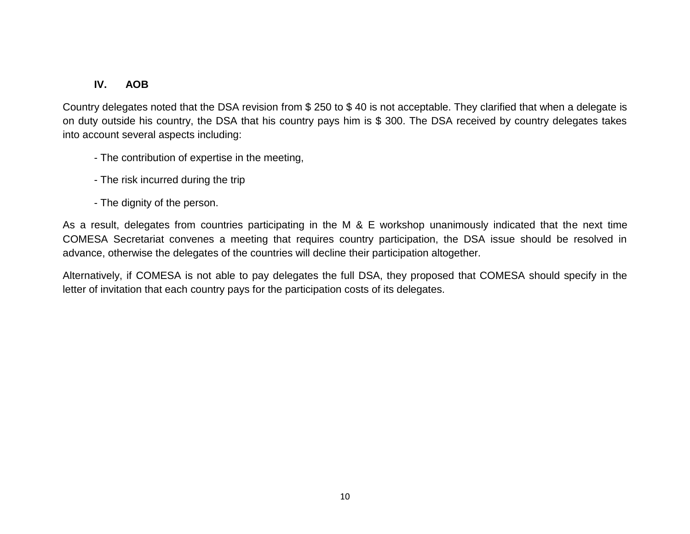## **IV. AOB**

Country delegates noted that the DSA revision from \$ 250 to \$ 40 is not acceptable. They clarified that when a delegate is on duty outside his country, the DSA that his country pays him is \$ 300. The DSA received by country delegates takes into account several aspects including:

- The contribution of expertise in the meeting,
- The risk incurred during the trip
- The dignity of the person.

As a result, delegates from countries participating in the M & E workshop unanimously indicated that the next time COMESA Secretariat convenes a meeting that requires country participation, the DSA issue should be resolved in advance, otherwise the delegates of the countries will decline their participation altogether.

Alternatively, if COMESA is not able to pay delegates the full DSA, they proposed that COMESA should specify in the letter of invitation that each country pays for the participation costs of its delegates.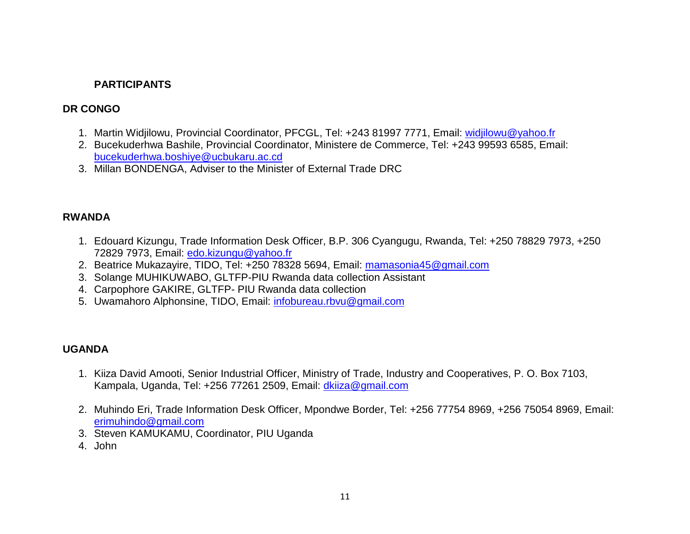## **PARTICIPANTS**

### **DR CONGO**

- 1. Martin Widjilowu, Provincial Coordinator, PFCGL, Tel: +243 81997 7771, Email: [widjilowu@yahoo.fr](mailto:widjilowu@yahoo.fr)
- 2. Bucekuderhwa Bashile, Provincial Coordinator, Ministere de Commerce, Tel: +243 99593 6585, Email: [bucekuderhwa.boshiye@ucbukaru.ac.cd](mailto:bucekuderhwa.boshiye@ucbukaru.ac.cd)
- 3. Millan BONDENGA, Adviser to the Minister of External Trade DRC

### **RWANDA**

- 1. Edouard Kizungu, Trade Information Desk Officer, B.P. 306 Cyangugu, Rwanda, Tel: +250 78829 7973, +250 72829 7973, Email: [edo.kizungu@yahoo.fr](mailto:edo.kizungu@yahoo.fr)
- 2. Beatrice Mukazayire, TIDO, Tel: +250 78328 5694, Email: [mamasonia45@gmail.com](mailto:mamasonia45@gmail.com)
- 3. Solange MUHIKUWABO, GLTFP-PIU Rwanda data collection Assistant
- 4. Carpophore GAKIRE, GLTFP- PIU Rwanda data collection
- 5. Uwamahoro Alphonsine, TIDO, Email: [infobureau.rbvu@gmail.com](mailto:infobureau.rbvu@gmail.com)

### **UGANDA**

- 1. Kiiza David Amooti, Senior Industrial Officer, Ministry of Trade, Industry and Cooperatives, P. O. Box 7103, Kampala, Uganda, Tel: +256 77261 2509, Email: [dkiiza@gmail.com](mailto:dkiiza@gmail.com)
- 2. Muhindo Eri, Trade Information Desk Officer, Mpondwe Border, Tel: +256 77754 8969, +256 75054 8969, Email: [erimuhindo@gmail.com](mailto:erimuhindo@gmail.com)
- 3. Steven KAMUKAMU, Coordinator, PIU Uganda
- 4. John